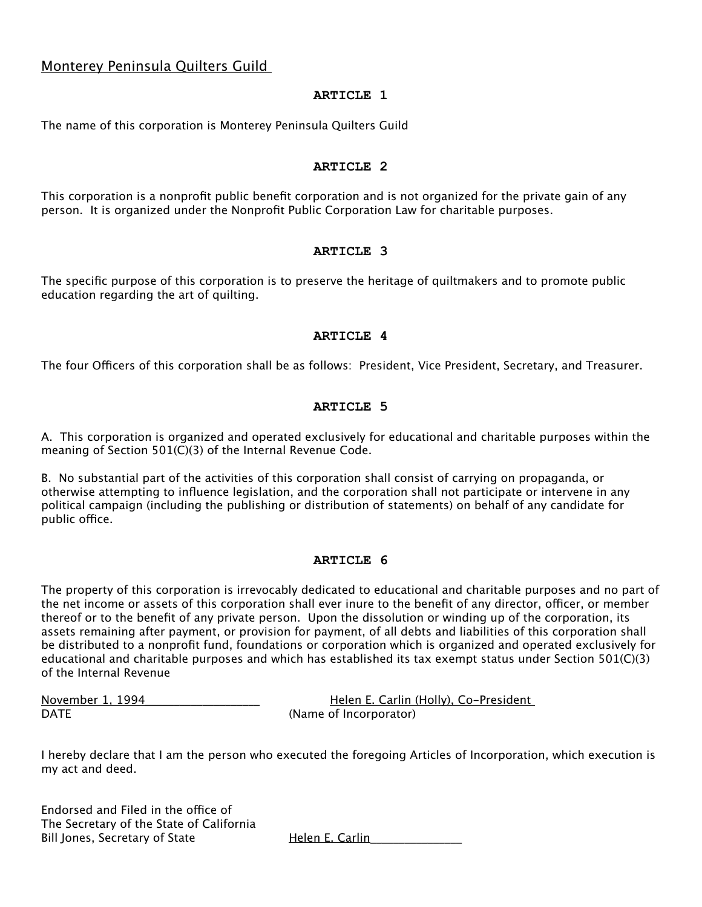# Monterey Peninsula Quilters Guild

## **ARTICLE 1**

The name of this corporation is Monterey Peninsula Quilters Guild

## **ARTICLE 2**

This corporation is a nonprofit public benefit corporation and is not organized for the private gain of any person. It is organized under the Nonprofit Public Corporation Law for charitable purposes.

#### **ARTICLE 3**

The specific purpose of this corporation is to preserve the heritage of quiltmakers and to promote public education regarding the art of quilting.

## **ARTICLE 4**

The four Officers of this corporation shall be as follows: President, Vice President, Secretary, and Treasurer.

## **ARTICLE 5**

A. This corporation is organized and operated exclusively for educational and charitable purposes within the meaning of Section 501(C)(3) of the Internal Revenue Code.

B. No substantial part of the activities of this corporation shall consist of carrying on propaganda, or otherwise attempting to influence legislation, and the corporation shall not participate or intervene in any political campaign (including the publishing or distribution of statements) on behalf of any candidate for public office.

#### **ARTICLE 6**

The property of this corporation is irrevocably dedicated to educational and charitable purposes and no part of the net income or assets of this corporation shall ever inure to the benefit of any director, officer, or member thereof or to the benefit of any private person. Upon the dissolution or winding up of the corporation, its assets remaining after payment, or provision for payment, of all debts and liabilities of this corporation shall be distributed to a nonprofit fund, foundations or corporation which is organized and operated exclusively for educational and charitable purposes and which has established its tax exempt status under Section 501(C)(3) of the Internal Revenue

November 1, 1994 **Solution Contract Exercise Contract Pressure Helen E. Carlin (Holly), Co-President** DATE (Name of Incorporator)

I hereby declare that I am the person who executed the foregoing Articles of Incorporation, which execution is my act and deed.

Endorsed and Filed in the office of The Secretary of the State of California Bill Jones, Secretary of State The Helen E. Carlin